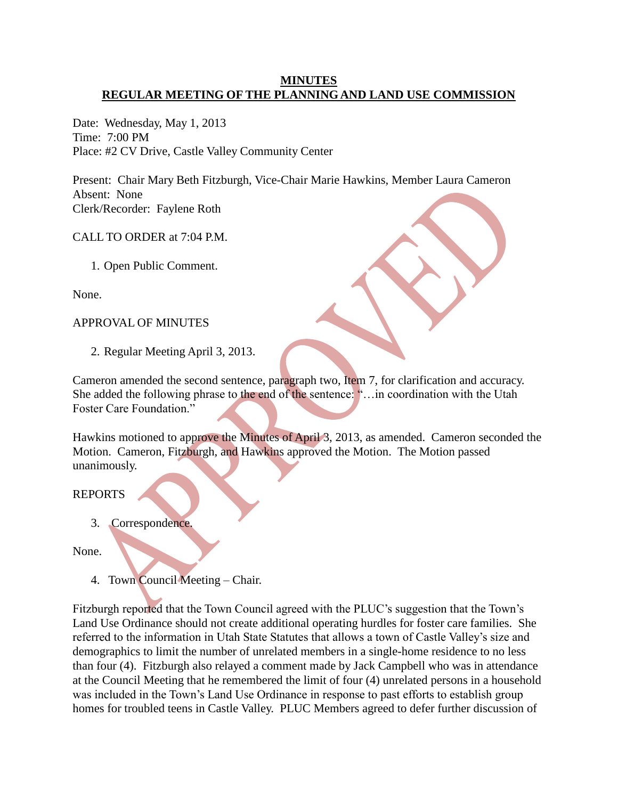## **MINUTES REGULAR MEETING OF THE PLANNING AND LAND USE COMMISSION**

Date: Wednesday, May 1, 2013 Time: 7:00 PM Place: #2 CV Drive, Castle Valley Community Center

Present: Chair Mary Beth Fitzburgh, Vice-Chair Marie Hawkins, Member Laura Cameron Absent: None Clerk/Recorder: Faylene Roth

CALL TO ORDER at 7:04 P.M.

1. Open Public Comment.

None.

APPROVAL OF MINUTES

2. Regular Meeting April 3, 2013.

Cameron amended the second sentence, paragraph two, Item 7, for clarification and accuracy. She added the following phrase to the end of the sentence: "…in coordination with the Utah Foster Care Foundation."

Hawkins motioned to approve the Minutes of April 3, 2013, as amended. Cameron seconded the Motion. Cameron, Fitzburgh, and Hawkins approved the Motion. The Motion passed unanimously.

# REPORTS

3. Correspondence.

None.

4. Town Council Meeting – Chair.

Fitzburgh reported that the Town Council agreed with the PLUC's suggestion that the Town's Land Use Ordinance should not create additional operating hurdles for foster care families. She referred to the information in Utah State Statutes that allows a town of Castle Valley's size and demographics to limit the number of unrelated members in a single-home residence to no less than four (4). Fitzburgh also relayed a comment made by Jack Campbell who was in attendance at the Council Meeting that he remembered the limit of four (4) unrelated persons in a household was included in the Town's Land Use Ordinance in response to past efforts to establish group homes for troubled teens in Castle Valley. PLUC Members agreed to defer further discussion of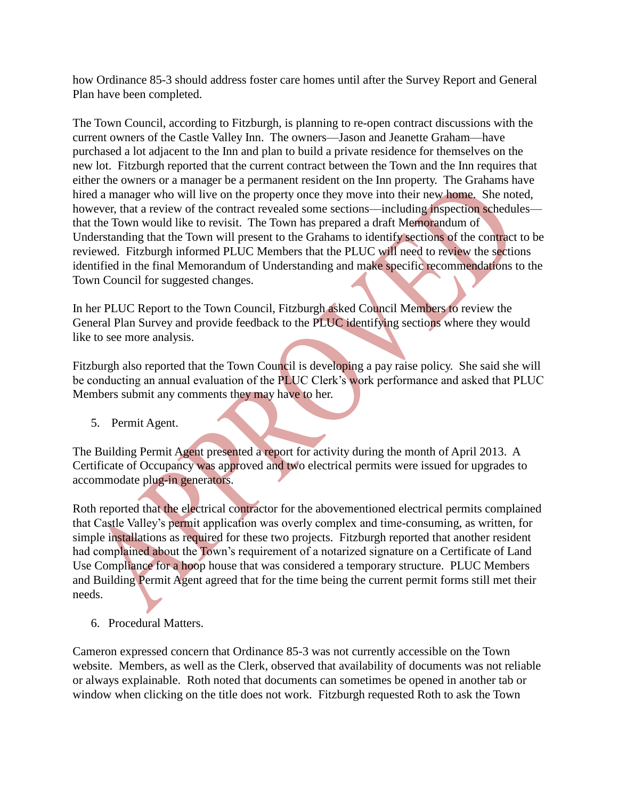how Ordinance 85-3 should address foster care homes until after the Survey Report and General Plan have been completed.

The Town Council, according to Fitzburgh, is planning to re-open contract discussions with the current owners of the Castle Valley Inn. The owners—Jason and Jeanette Graham—have purchased a lot adjacent to the Inn and plan to build a private residence for themselves on the new lot. Fitzburgh reported that the current contract between the Town and the Inn requires that either the owners or a manager be a permanent resident on the Inn property. The Grahams have hired a manager who will live on the property once they move into their new home. She noted, however, that a review of the contract revealed some sections—including inspection schedules that the Town would like to revisit. The Town has prepared a draft Memorandum of Understanding that the Town will present to the Grahams to identify sections of the contract to be reviewed. Fitzburgh informed PLUC Members that the PLUC will need to review the sections identified in the final Memorandum of Understanding and make specific recommendations to the Town Council for suggested changes.

In her PLUC Report to the Town Council, Fitzburgh asked Council Members to review the General Plan Survey and provide feedback to the PLUC identifying sections where they would like to see more analysis.

Fitzburgh also reported that the Town Council is developing a pay raise policy. She said she will be conducting an annual evaluation of the PLUC Clerk's work performance and asked that PLUC Members submit any comments they may have to her.

5. Permit Agent.

The Building Permit Agent presented a report for activity during the month of April 2013. A Certificate of Occupancy was approved and two electrical permits were issued for upgrades to accommodate plug-in generators.

Roth reported that the electrical contractor for the abovementioned electrical permits complained that Castle Valley's permit application was overly complex and time-consuming, as written, for simple installations as required for these two projects. Fitzburgh reported that another resident had complained about the Town's requirement of a notarized signature on a Certificate of Land Use Compliance for a hoop house that was considered a temporary structure. PLUC Members and Building Permit Agent agreed that for the time being the current permit forms still met their needs.

6. Procedural Matters.

Cameron expressed concern that Ordinance 85-3 was not currently accessible on the Town website. Members, as well as the Clerk, observed that availability of documents was not reliable or always explainable. Roth noted that documents can sometimes be opened in another tab or window when clicking on the title does not work. Fitzburgh requested Roth to ask the Town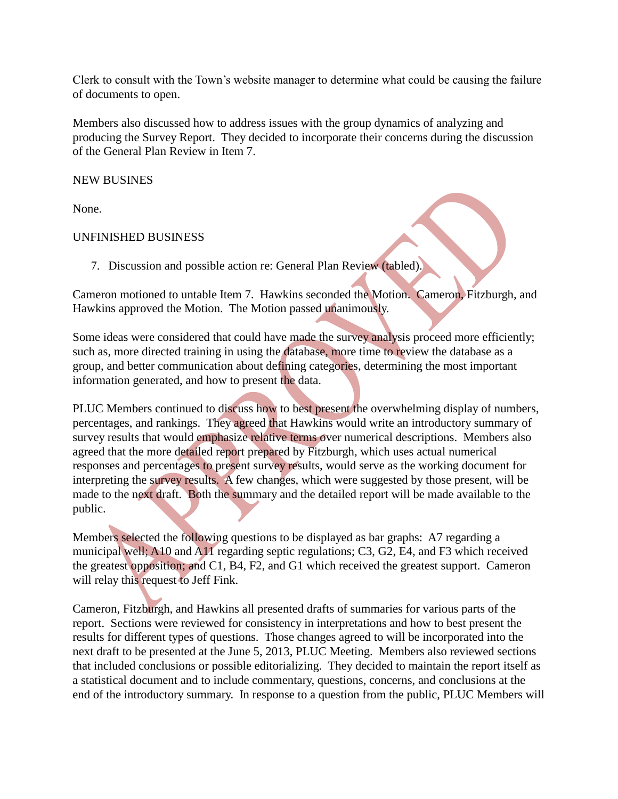Clerk to consult with the Town's website manager to determine what could be causing the failure of documents to open.

Members also discussed how to address issues with the group dynamics of analyzing and producing the Survey Report. They decided to incorporate their concerns during the discussion of the General Plan Review in Item 7.

NEW BUSINES

None.

# UNFINISHED BUSINESS

7. Discussion and possible action re: General Plan Review (tabled).

Cameron motioned to untable Item 7. Hawkins seconded the Motion. Cameron, Fitzburgh, and Hawkins approved the Motion. The Motion passed unanimously.

Some ideas were considered that could have made the survey analysis proceed more efficiently; such as, more directed training in using the database, more time to review the database as a group, and better communication about defining categories, determining the most important information generated, and how to present the data.

PLUC Members continued to discuss how to best present the overwhelming display of numbers, percentages, and rankings. They agreed that Hawkins would write an introductory summary of survey results that would emphasize relative terms over numerical descriptions. Members also agreed that the more detailed report prepared by Fitzburgh, which uses actual numerical responses and percentages to present survey results, would serve as the working document for interpreting the survey results. A few changes, which were suggested by those present, will be made to the next draft. Both the summary and the detailed report will be made available to the public.

Members selected the following questions to be displayed as bar graphs: A7 regarding a municipal well; A10 and A11 regarding septic regulations; C3, G2, E4, and F3 which received the greatest opposition; and C1, B4, F2, and G1 which received the greatest support. Cameron will relay this request to Jeff Fink.

Cameron, Fitzburgh, and Hawkins all presented drafts of summaries for various parts of the report. Sections were reviewed for consistency in interpretations and how to best present the results for different types of questions. Those changes agreed to will be incorporated into the next draft to be presented at the June 5, 2013, PLUC Meeting. Members also reviewed sections that included conclusions or possible editorializing. They decided to maintain the report itself as a statistical document and to include commentary, questions, concerns, and conclusions at the end of the introductory summary. In response to a question from the public, PLUC Members will